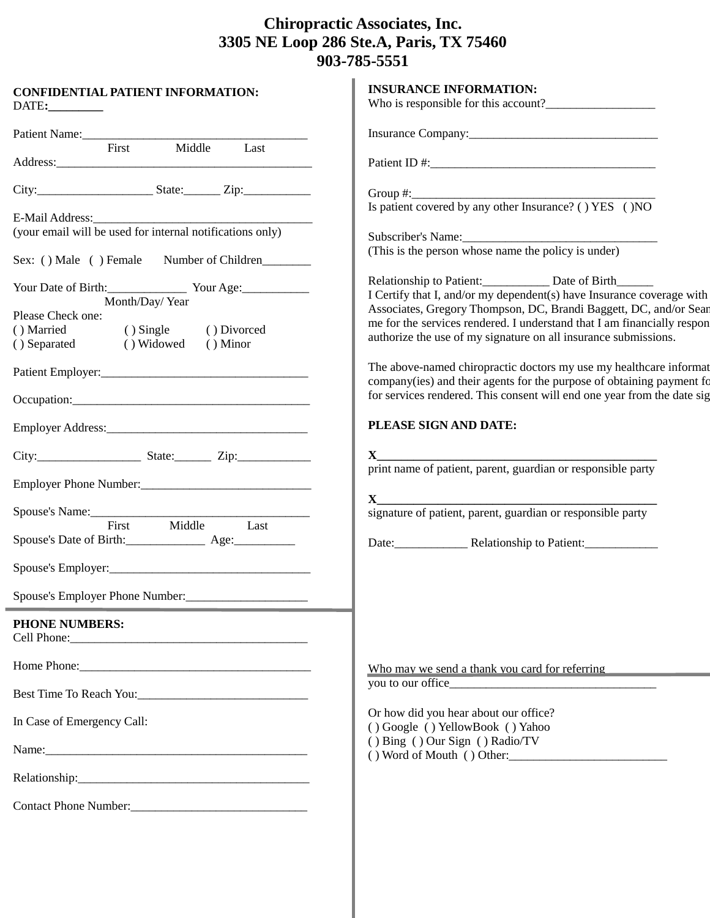## **Chiropractic Associates, Inc. 3305 NE Loop 286 Ste.A, Paris, TX 75460 903-785-5551**

| Patient Name:<br>First<br>Middle<br>Last<br>Group $\#$ :<br>Is patient covered by any other Insurance? () YES () NO<br>E-Mail Address:<br>(your email will be used for internal notifications only)<br>Subscriber's Name:<br>(This is the person whose name the policy is under)<br>Sex: () Male () Female Number of Children<br>Relationship to Patient: Date of Birth<br>Your Date of Birth: Vour Age:<br>I Certify that I, and/or my dependent(s) have Insurance coverage with<br>Month/Day/Year<br>Associates, Gregory Thompson, DC, Brandi Baggett, DC, and/or Sear<br>Please Check one:<br>me for the services rendered. I understand that I am financially respon<br>$()$ Single<br>() Divorced<br>() Married<br>authorize the use of my signature on all insurance submissions.<br>() Widowed () Minor<br>() Separated |
|--------------------------------------------------------------------------------------------------------------------------------------------------------------------------------------------------------------------------------------------------------------------------------------------------------------------------------------------------------------------------------------------------------------------------------------------------------------------------------------------------------------------------------------------------------------------------------------------------------------------------------------------------------------------------------------------------------------------------------------------------------------------------------------------------------------------------------|
|                                                                                                                                                                                                                                                                                                                                                                                                                                                                                                                                                                                                                                                                                                                                                                                                                                |
|                                                                                                                                                                                                                                                                                                                                                                                                                                                                                                                                                                                                                                                                                                                                                                                                                                |
|                                                                                                                                                                                                                                                                                                                                                                                                                                                                                                                                                                                                                                                                                                                                                                                                                                |
|                                                                                                                                                                                                                                                                                                                                                                                                                                                                                                                                                                                                                                                                                                                                                                                                                                |
|                                                                                                                                                                                                                                                                                                                                                                                                                                                                                                                                                                                                                                                                                                                                                                                                                                |
|                                                                                                                                                                                                                                                                                                                                                                                                                                                                                                                                                                                                                                                                                                                                                                                                                                |
|                                                                                                                                                                                                                                                                                                                                                                                                                                                                                                                                                                                                                                                                                                                                                                                                                                |
|                                                                                                                                                                                                                                                                                                                                                                                                                                                                                                                                                                                                                                                                                                                                                                                                                                |
|                                                                                                                                                                                                                                                                                                                                                                                                                                                                                                                                                                                                                                                                                                                                                                                                                                |
| The above-named chiropractic doctors my use my healthcare informat                                                                                                                                                                                                                                                                                                                                                                                                                                                                                                                                                                                                                                                                                                                                                             |
| company(ies) and their agents for the purpose of obtaining payment fo<br>for services rendered. This consent will end one year from the date sig                                                                                                                                                                                                                                                                                                                                                                                                                                                                                                                                                                                                                                                                               |
| PLEASE SIGN AND DATE:                                                                                                                                                                                                                                                                                                                                                                                                                                                                                                                                                                                                                                                                                                                                                                                                          |
| $\mathbf{X}$ and $\mathbf{X}$ and $\mathbf{X}$ and $\mathbf{X}$ and $\mathbf{X}$ and $\mathbf{X}$ and $\mathbf{X}$ and $\mathbf{X}$ and $\mathbf{X}$ and $\mathbf{X}$ and $\mathbf{X}$ and $\mathbf{X}$ and $\mathbf{X}$ and $\mathbf{X}$ and $\mathbf{X}$ and $\mathbf{X}$ and $\mathbf{X}$ and<br>print name of patient, parent, guardian or responsible party                                                                                                                                                                                                                                                                                                                                                                                                                                                               |
| Employer Phone Number:<br><u>Employer Phone Number:</u>                                                                                                                                                                                                                                                                                                                                                                                                                                                                                                                                                                                                                                                                                                                                                                        |
| Spouse's Name:                                                                                                                                                                                                                                                                                                                                                                                                                                                                                                                                                                                                                                                                                                                                                                                                                 |
| Middle<br>First<br>Last<br>Spouse's Date of Birth: _______________________ Age:_____________________________                                                                                                                                                                                                                                                                                                                                                                                                                                                                                                                                                                                                                                                                                                                   |
|                                                                                                                                                                                                                                                                                                                                                                                                                                                                                                                                                                                                                                                                                                                                                                                                                                |
| Spouse's Employer Phone Number:                                                                                                                                                                                                                                                                                                                                                                                                                                                                                                                                                                                                                                                                                                                                                                                                |
| <b>PHONE NUMBERS:</b>                                                                                                                                                                                                                                                                                                                                                                                                                                                                                                                                                                                                                                                                                                                                                                                                          |
| Who may we send a thank you card for referring                                                                                                                                                                                                                                                                                                                                                                                                                                                                                                                                                                                                                                                                                                                                                                                 |
| you to our office<br>Best Time To Reach You:                                                                                                                                                                                                                                                                                                                                                                                                                                                                                                                                                                                                                                                                                                                                                                                   |
| Or how did you hear about our office?<br>In Case of Emergency Call:<br>() Google () YellowBook () Yahoo                                                                                                                                                                                                                                                                                                                                                                                                                                                                                                                                                                                                                                                                                                                        |
| () Bing () Our Sign () Radio/TV<br>() Word of Mouth () Other:                                                                                                                                                                                                                                                                                                                                                                                                                                                                                                                                                                                                                                                                                                                                                                  |
|                                                                                                                                                                                                                                                                                                                                                                                                                                                                                                                                                                                                                                                                                                                                                                                                                                |
|                                                                                                                                                                                                                                                                                                                                                                                                                                                                                                                                                                                                                                                                                                                                                                                                                                |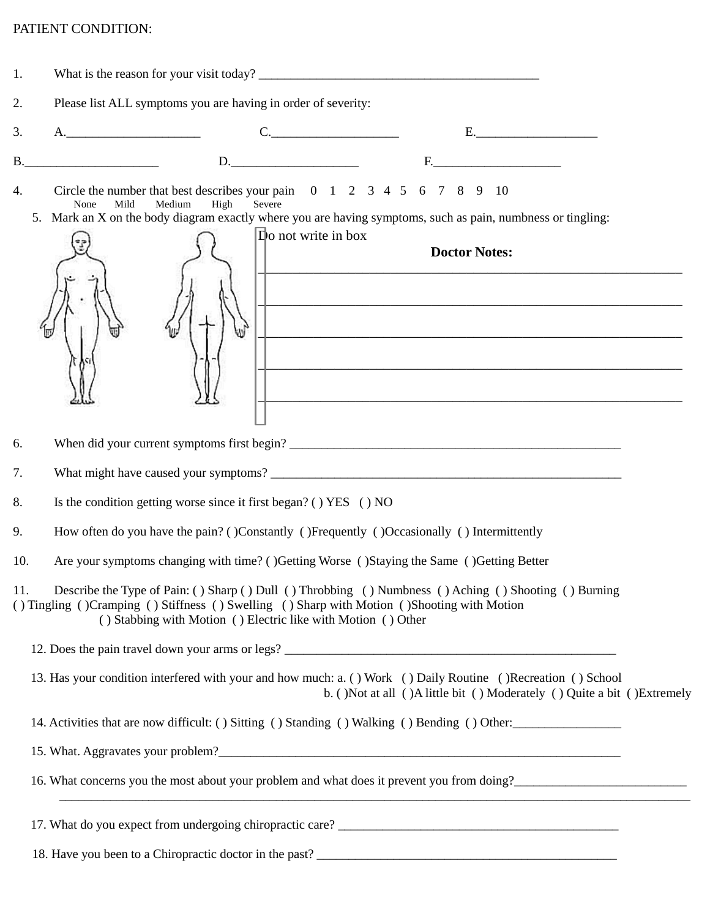## PATIENT CONDITION:

| 1.        | What is the reason for your visit today?                                                                                                                                                                                                                                                                                                                                      |  |  |  |  |
|-----------|-------------------------------------------------------------------------------------------------------------------------------------------------------------------------------------------------------------------------------------------------------------------------------------------------------------------------------------------------------------------------------|--|--|--|--|
| 2.        | Please list ALL symptoms you are having in order of severity:                                                                                                                                                                                                                                                                                                                 |  |  |  |  |
| 3.        | C.<br>$E.$ $\qquad \qquad$ $\qquad$ $\qquad$ $\qquad$ $\qquad$ $\qquad$ $\qquad$ $\qquad$ $\qquad$ $\qquad$ $\qquad$ $\qquad$ $\qquad$ $\qquad$ $\qquad$ $\qquad$ $\qquad$ $\qquad$ $\qquad$ $\qquad$ $\qquad$ $\qquad$ $\qquad$ $\qquad$ $\qquad$ $\qquad$ $\qquad$ $\qquad$ $\qquad$ $\qquad$ $\qquad$ $\qquad$ $\qquad$ $\qquad$ $\qquad$ $\q$                             |  |  |  |  |
| <b>B.</b> | D.<br>$\begin{picture}(180,10) \put(0,0){\dashbox{0.5}(10,0){ }} \put(10,0){\dashbox{0.5}(10,0){ }} \put(10,0){\dashbox{0.5}(10,0){ }} \put(10,0){\dashbox{0.5}(10,0){ }} \put(10,0){\dashbox{0.5}(10,0){ }} \put(10,0){\dashbox{0.5}(10,0){ }} \put(10,0){\dashbox{0.5}(10,0){ }} \put(10,0){\dashbox{0.5}(10,0){ }} \put(10,0){\dashbox{0.5}(10,0){ }} \put(10,0){\dashbox$ |  |  |  |  |
| 4.        | Circle the number that best describes your pain $0 \t1 \t2 \t3 \t4 \t5 \t6 \t7 \t8 \t9 \t10$<br>Medium<br>High<br>Mild<br>Severe<br>None<br>5. Mark an X on the body diagram exactly where you are having symptoms, such as pain, numbness or tingling:                                                                                                                       |  |  |  |  |
|           | $\mathbf{D}$ o not write in box<br><b>Doctor Notes:</b>                                                                                                                                                                                                                                                                                                                       |  |  |  |  |
| 6.        |                                                                                                                                                                                                                                                                                                                                                                               |  |  |  |  |
| 7.        |                                                                                                                                                                                                                                                                                                                                                                               |  |  |  |  |
| 8.        | Is the condition getting worse since it first began? () YES () NO                                                                                                                                                                                                                                                                                                             |  |  |  |  |
| 9.        | How often do you have the pain? ()Constantly ()Frequently ()Occasionally () Intermittently                                                                                                                                                                                                                                                                                    |  |  |  |  |
| 10.       | Are your symptoms changing with time? ()Getting Worse ()Staying the Same ()Getting Better                                                                                                                                                                                                                                                                                     |  |  |  |  |
| 11.       | Describe the Type of Pain: () Sharp () Dull () Throbbing () Numbness () Aching () Shooting () Burning<br>() Tingling () Cramping () Stiffness () Swelling () Sharp with Motion () Shooting with Motion<br>() Stabbing with Motion () Electric like with Motion () Other                                                                                                       |  |  |  |  |
|           |                                                                                                                                                                                                                                                                                                                                                                               |  |  |  |  |
|           | 13. Has your condition interfered with your and how much: a. () Work () Daily Routine () Recreation () School<br>b. ()Not at all ()A little bit () Moderately () Quite a bit ()Extremely                                                                                                                                                                                      |  |  |  |  |
|           | 14. Activities that are now difficult: () Sitting () Standing () Walking () Bending () Other:                                                                                                                                                                                                                                                                                 |  |  |  |  |
|           |                                                                                                                                                                                                                                                                                                                                                                               |  |  |  |  |
|           | 16. What concerns you the most about your problem and what does it prevent you from doing?<br><u>Letting</u>                                                                                                                                                                                                                                                                  |  |  |  |  |
|           |                                                                                                                                                                                                                                                                                                                                                                               |  |  |  |  |
|           |                                                                                                                                                                                                                                                                                                                                                                               |  |  |  |  |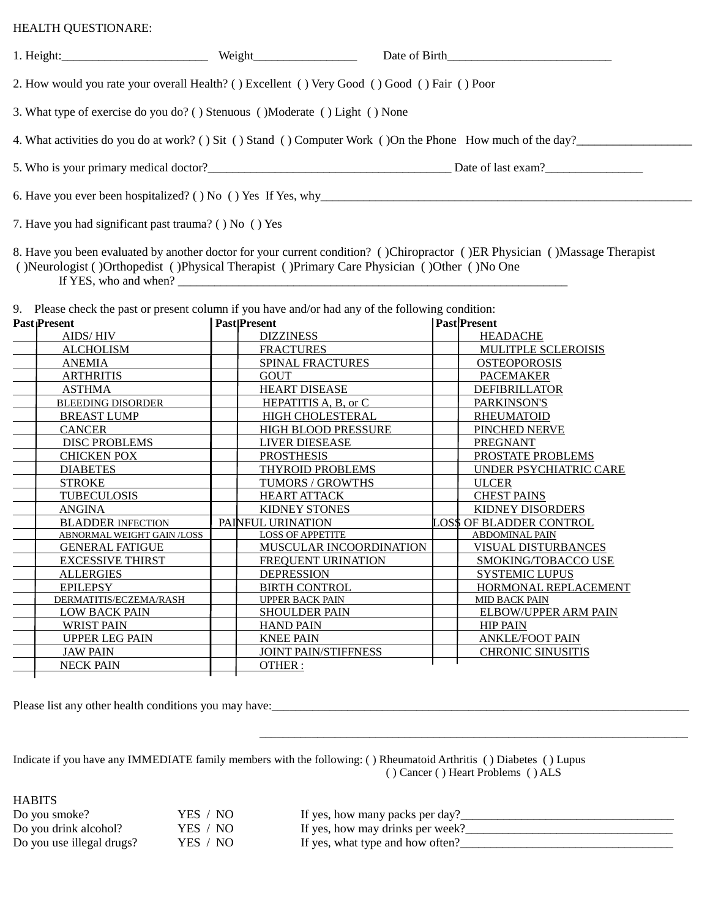## HEALTH QUESTIONARE:

|                                                                                                             | Weight |                    |  |  |  |  |
|-------------------------------------------------------------------------------------------------------------|--------|--------------------|--|--|--|--|
| 2. How would you rate your overall Health? () Excellent () Very Good () Good () Fair () Poor                |        |                    |  |  |  |  |
| 3. What type of exercise do you do? () Stenuous () Moderate () Light () None                                |        |                    |  |  |  |  |
| 4. What activities do you do at work? () Sit () Stand () Computer Work () On the Phone How much of the day? |        |                    |  |  |  |  |
|                                                                                                             |        | Date of last exam? |  |  |  |  |
|                                                                                                             |        |                    |  |  |  |  |
| 7. Have you had significant past trauma? () No () Yes                                                       |        |                    |  |  |  |  |

8. Have you been evaluated by another doctor for your current condition? ( )Chiropractor ( )ER Physician ( )Massage Therapist ( )Neurologist ( )Orthopedist ( )Physical Therapist ( )Primary Care Physician ( )Other ( )No One If YES, who and when? $\Box$ 

9. Please check the past or present column if you have and/or had any of the following condition:

| <b>Past Present</b>        | <b>PastIPresent</b>            | <b>Past</b>  Present     |
|----------------------------|--------------------------------|--------------------------|
| <b>AIDS/HIV</b>            | <b>DIZZINESS</b>               | <b>HEADACHE</b>          |
| <b>ALCHOLISM</b>           | <b>FRACTURES</b>               | MULITPLE SCLEROISIS      |
| <b>ANEMIA</b>              | <b>SPINAL FRACTURES</b>        | <b>OSTEOPOROSIS</b>      |
| <b>ARTHRITIS</b>           | <b>GOUT</b>                    | <b>PACEMAKER</b>         |
| <b>ASTHMA</b>              | <b>HEART DISEASE</b>           | <b>DEFIBRILLATOR</b>     |
| <b>BLEEDING DISORDER</b>   | HEPATITIS A, B, or C           | PARKINSON'S              |
| <b>BREAST LUMP</b>         | <b>HIGH CHOLESTERAL</b>        | <b>RHEUMATOID</b>        |
| <b>CANCER</b>              | <b>HIGH BLOOD PRESSURE</b>     | PINCHED NERVE            |
| <b>DISC PROBLEMS</b>       | <b>LIVER DIESEASE</b>          | <b>PREGNANT</b>          |
| <b>CHICKEN POX</b>         | <b>PROSTHESIS</b>              | PROSTATE PROBLEMS        |
| <b>DIABETES</b>            | <b>THYROID PROBLEMS</b>        | UNDER PSYCHIATRIC CARE   |
| <b>STROKE</b>              | <b>TUMORS / GROWTHS</b>        | <b>ULCER</b>             |
| <b>TUBECULOSIS</b>         | <b>HEART ATTACK</b>            | <b>CHEST PAINS</b>       |
| <b>ANGINA</b>              | <b>KIDNEY STONES</b>           | KIDNEY DISORDERS         |
| <b>BLADDER INFECTION</b>   | PAINFUL URINATION              | OS\$ OF BLADDER CONTROL  |
| ABNORMAL WEIGHT GAIN /LOSS | <b>LOSS OF APPETITE</b>        | <b>ABDOMINAL PAIN</b>    |
| <b>GENERAL FATIGUE</b>     | <b>MUSCULAR INCOORDINATION</b> | VISUAL DISTURBANCES      |
| <b>EXCESSIVE THIRST</b>    | <b>FREQUENT URINATION</b>      | SMOKING/TOBACCO USE      |
| <b>ALLERGIES</b>           | <b>DEPRESSION</b>              | <b>SYSTEMIC LUPUS</b>    |
| <b>EPILEPSY</b>            | <b>BIRTH CONTROL</b>           | HORMONAL REPLACEMENT     |
| DERMATITIS/ECZEMA/RASH     | <b>UPPER BACK PAIN</b>         | <b>MID BACK PAIN</b>     |
| <b>LOW BACK PAIN</b>       | <b>SHOULDER PAIN</b>           | ELBOW/UPPER ARM PAIN     |
| <b>WRIST PAIN</b>          | <b>HAND PAIN</b>               | <b>HIP PAIN</b>          |
| <b>UPPER LEG PAIN</b>      | <b>KNEE PAIN</b>               | <b>ANKLE/FOOT PAIN</b>   |
| <b>JAW PAIN</b>            | <b>JOINT PAIN/STIFFNESS</b>    | <b>CHRONIC SINUSITIS</b> |
| <b>NECK PAIN</b>           | OTHER:                         |                          |

Please list any other health conditions you may have:\_\_\_\_\_\_\_\_\_\_\_\_\_\_\_\_\_\_\_\_\_\_\_\_\_\_\_\_

Indicate if you have any IMMEDIATE family members with the following: ( ) Rheumatoid Arthritis ( ) Diabetes ( ) Lupus ( ) Cancer ( ) Heart Problems ( ) ALS

**HABITS** Do you smoke? YES / NO If yes, how many packs per day? Do you drink alcohol? YES / NO If yes, how may drinks per week?\_\_\_\_\_\_\_\_\_\_\_\_\_\_\_\_\_\_\_\_\_\_\_\_\_\_\_\_\_\_\_\_\_\_ Do you use illegal drugs? YES / NO If yes, what type and how often?

\_\_\_\_\_\_\_\_\_\_\_\_\_\_\_\_\_\_\_\_\_\_\_\_\_\_\_\_\_\_\_\_\_\_\_\_\_\_\_\_\_\_\_\_\_\_\_\_\_\_\_\_\_\_\_\_\_\_\_\_\_\_\_\_\_\_\_\_\_\_\_\_\_\_